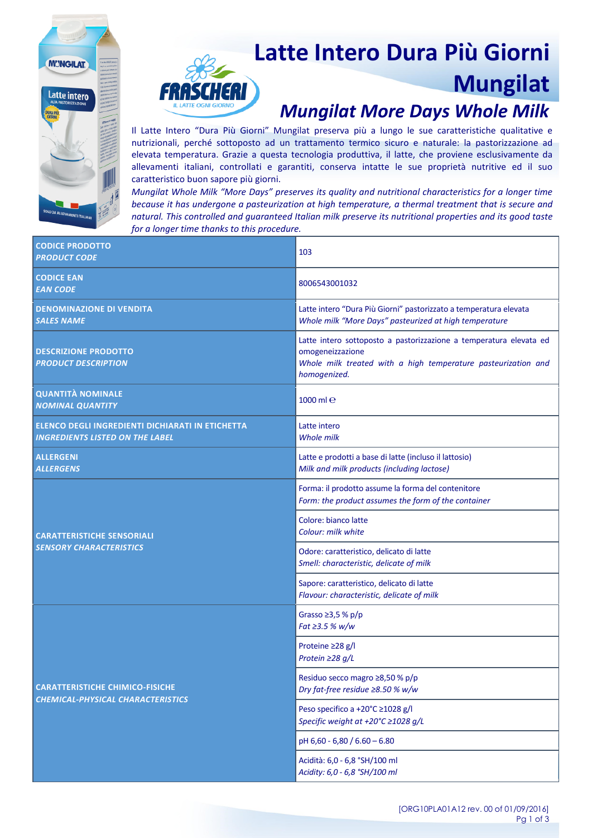# **Latte Intero Dura Più Giorni Mungilat**

#### *Mungilat More Days Whole Milk*

Il Latte Intero "Dura Più Giorni" Mungilat preserva più a lungo le sue caratteristiche qualitative e nutrizionali, perché sottoposto ad un trattamento termico sicuro e naturale: la pastorizzazione ad elevata temperatura. Grazie a questa tecnologia produttiva, il latte, che proviene esclusivamente da allevamenti italiani, controllati e garantiti, conserva intatte le sue proprietà nutritive ed il suo caratteristico buon sapore più giorni.

**MUNGILAT** 

**Latte intero** 

*Mungilat Whole Milk "More Days" preserves its quality and nutritional characteristics for a longer time because it has undergone a pasteurization at high temperature, a thermal treatment that is secure and natural. This controlled and guaranteed Italian milk preserve its nutritional properties and its good taste for a longer time thanks to this procedure.*

| <b>CODICE PRODOTTO</b><br><b>PRODUCT CODE</b>                                              | 103                                                                                                                                                                     |
|--------------------------------------------------------------------------------------------|-------------------------------------------------------------------------------------------------------------------------------------------------------------------------|
| <b>CODICE EAN</b><br><b>EAN CODE</b>                                                       | 8006543001032                                                                                                                                                           |
| <b>DENOMINAZIONE DI VENDITA</b><br><b>SALES NAME</b>                                       | Latte intero "Dura Più Giorni" pastorizzato a temperatura elevata<br>Whole milk "More Days" pasteurized at high temperature                                             |
| <b>DESCRIZIONE PRODOTTO</b><br><b>PRODUCT DESCRIPTION</b>                                  | Latte intero sottoposto a pastorizzazione a temperatura elevata ed<br>omogeneizzazione<br>Whole milk treated with a high temperature pasteurization and<br>homogenized. |
| <b>QUANTITÀ NOMINALE</b><br><b>NOMINAL QUANTITY</b>                                        | 1000 $m$ le                                                                                                                                                             |
| ELENCO DEGLI INGREDIENTI DICHIARATI IN ETICHETTA<br><b>INGREDIENTS LISTED ON THE LABEL</b> | Latte intero<br><b>Whole milk</b>                                                                                                                                       |
| <b>ALLERGENI</b><br><b>ALLERGENS</b>                                                       | Latte e prodotti a base di latte (incluso il lattosio)<br>Milk and milk products (including lactose)                                                                    |
| <b>CARATTERISTICHE SENSORIALI</b><br><b>SENSORY CHARACTERISTICS</b>                        | Forma: il prodotto assume la forma del contenitore<br>Form: the product assumes the form of the container                                                               |
|                                                                                            | Colore: bianco latte<br>Colour: milk white                                                                                                                              |
|                                                                                            | Odore: caratteristico, delicato di latte<br>Smell: characteristic, delicate of milk                                                                                     |
|                                                                                            | Sapore: caratteristico, delicato di latte<br>Flavour: characteristic, delicate of milk                                                                                  |
| <b>CARATTERISTICHE CHIMICO-FISICHE</b><br>CHEMICAL-PHYSICAL CHARACTERISTICS                | Grasso $\geq$ 3,5 % p/p<br>Fat ≥3.5 % w/w                                                                                                                               |
|                                                                                            | Proteine ≥28 g/l<br>Protein ≥28 g/L                                                                                                                                     |
|                                                                                            | Residuo secco magro ≥8,50 % p/p<br>Dry fat-free residue $\geq 8.50$ % w/w                                                                                               |
|                                                                                            | Peso specifico a +20°C ≥1028 g/l<br>Specific weight at +20°C ≥1028 g/L                                                                                                  |
|                                                                                            | pH 6,60 - 6,80 / 6.60 - 6.80                                                                                                                                            |
|                                                                                            | Acidità: 6,0 - 6,8 °SH/100 ml<br>Acidity: 6,0 - 6,8 °SH/100 ml                                                                                                          |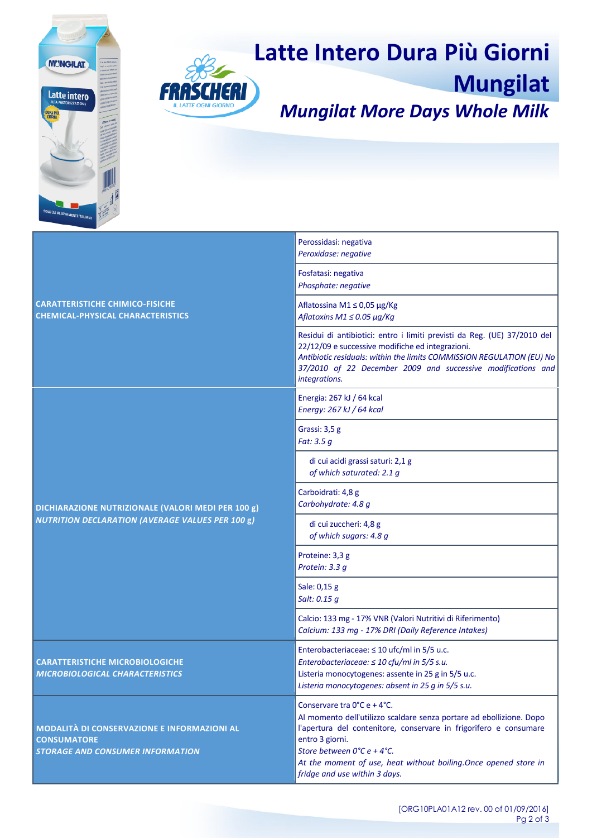



## **Latte Intero Dura Più Giorni**

**Mungilat** *Mungilat More Days Whole Milk*

| <b>CARATTERISTICHE CHIMICO-FISICHE</b><br><b>CHEMICAL-PHYSICAL CHARACTERISTICS</b>                                  | Perossidasi: negativa<br>Peroxidase: negative                                                                                                                                                                                                                                                                                                       |
|---------------------------------------------------------------------------------------------------------------------|-----------------------------------------------------------------------------------------------------------------------------------------------------------------------------------------------------------------------------------------------------------------------------------------------------------------------------------------------------|
|                                                                                                                     | Fosfatasi: negativa<br>Phosphate: negative                                                                                                                                                                                                                                                                                                          |
|                                                                                                                     | Aflatossina M1 ≤ 0,05 µg/Kg<br>Aflatoxins M1 $\leq$ 0.05 $\mu$ g/Kg                                                                                                                                                                                                                                                                                 |
|                                                                                                                     | Residui di antibiotici: entro i limiti previsti da Reg. (UE) 37/2010 del<br>22/12/09 e successive modifiche ed integrazioni.<br>Antibiotic residuals: within the limits COMMISSION REGULATION (EU) No<br>37/2010 of 22 December 2009 and successive modifications and<br>integrations.                                                              |
| DICHIARAZIONE NUTRIZIONALE (VALORI MEDI PER 100 g)<br><b>NUTRITION DECLARATION (AVERAGE VALUES PER 100 g)</b>       | Energia: 267 kJ / 64 kcal<br>Energy: 267 kJ / 64 kcal                                                                                                                                                                                                                                                                                               |
|                                                                                                                     | Grassi: 3,5 g<br>Fat: 3.5 g                                                                                                                                                                                                                                                                                                                         |
|                                                                                                                     | di cui acidi grassi saturi: 2,1 g<br>of which saturated: 2.1 g                                                                                                                                                                                                                                                                                      |
|                                                                                                                     | Carboidrati: 4,8 g<br>Carbohydrate: 4.8 g                                                                                                                                                                                                                                                                                                           |
|                                                                                                                     | di cui zuccheri: 4,8 g<br>of which sugars: 4.8 g                                                                                                                                                                                                                                                                                                    |
|                                                                                                                     | Proteine: 3,3 g<br>Protein: 3.3 g                                                                                                                                                                                                                                                                                                                   |
|                                                                                                                     | Sale: 0,15 g<br>Salt: 0.15 g                                                                                                                                                                                                                                                                                                                        |
|                                                                                                                     | Calcio: 133 mg - 17% VNR (Valori Nutritivi di Riferimento)<br>Calcium: 133 mg - 17% DRI (Daily Reference Intakes)                                                                                                                                                                                                                                   |
| <b>CARATTERISTICHE MICROBIOLOGICHE</b><br><b>MICROBIOLOGICAL CHARACTERISTICS</b>                                    | Enterobacteriaceae: $\leq 10$ ufc/ml in 5/5 u.c.<br>Enterobacteriaceae: ≤ 10 cfu/ml in 5/5 s.u.<br>Listeria monocytogenes: assente in 25 g in 5/5 u.c.<br>Listeria monocytogenes: absent in 25 g in 5/5 s.u.                                                                                                                                        |
| <b>MODALITÀ DI CONSERVAZIONE E INFORMAZIONI AL</b><br><b>CONSUMATORE</b><br><b>STORAGE AND CONSUMER INFORMATION</b> | Conservare tra $0^{\circ}$ C e + 4 $^{\circ}$ C.<br>Al momento dell'utilizzo scaldare senza portare ad ebollizione. Dopo<br>l'apertura del contenitore, conservare in frigorifero e consumare<br>entro 3 giorni.<br>Store between 0°C e + 4°C.<br>At the moment of use, heat without boiling. Once opened store in<br>fridge and use within 3 days. |